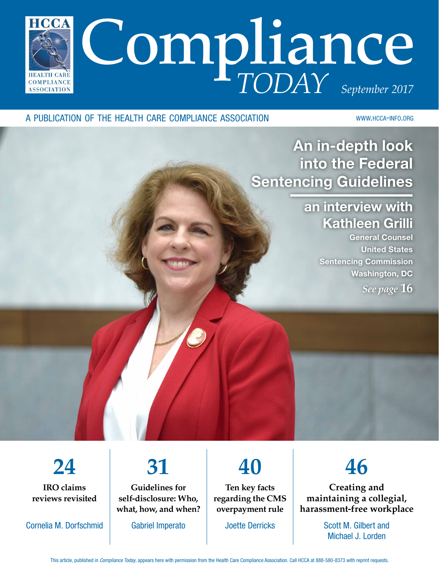

#### a publication of the health care compliance association

www.hcca-info.org

An in-depth look into the Federal Sentencing Guidelines

### an interview with Kathleen Grilli

General Counsel United States Sentencing Commission Washington, DC *See page* **16**

**24 IRO claims reviews revisited**

Cornelia M. Dorfschmid

# **31**

**Guidelines for self-disclosure: Who, what, how, and when?**

Gabriel Imperato

**40**

**Ten key facts regarding the CMS overpayment rule**

Joette Derricks

**46**

**Creating and maintaining a collegial, harassment-free workplace**

> Scott M. Gilbert and Michael J. Lorden

This article, published in *Compliance Today*, appears here with permission from the Health Care Compliance Association. Call HCCA at 888-580-8373 with reprint requests.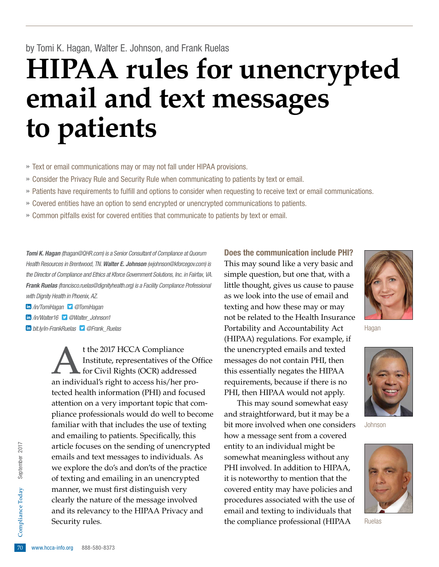## **HIPAA rules for unencrypted email and text messages to patients**

» Text or email communications may or may not fall under HIPAA provisions.

- » Consider the Privacy Rule and Security Rule when communicating to patients by text or email.
- » Patients have requirements to fulfill and options to consider when requesting to receive text or email communications.
- » Covered entities have an option to send encrypted or unencrypted communications to patients.
- » Common pitfalls exist for covered entities that communicate to patients by text or email.

*Tomi K. Hagan (thagan@QHR.com) is a Senior Consultant of Compliance at Quorum Health Resources in Brentwood, TN. Walter E. Johnson (wjohnson@kforcegov.com) is the Director of Compliance and Ethics at Kforce Government Solutions, Inc. in Fairfax, VA. Frank Ruelas (francisco.ruelas@dignityhealth.org) is a Facility Compliance Professional with Dignity Health in Phoenix, AZ.*

 */in/TomiHagan @TomiHagan* 

 */in/Walter16 @Walter\_Johnson1* 

20 and its relevancy to the HIPAA Privacy and<br>
Security rules.<br>
70 www.hcca-info.org 888-580-8373 t the 2017 HCCA Compliance<br>Institute, representatives of the for Civil Rights (OCR) address Institute, representatives of the Office for Civil Rights (OCR) addressed an individual's right to access his/her protected health information (PHI) and focused attention on a very important topic that compliance professionals would do well to become familiar with that includes the use of texting and emailing to patients. Specifically, this article focuses on the sending of unencrypted emails and text messages to individuals. As we explore the do's and don'ts of the practice of texting and emailing in an unencrypted manner, we must first distinguish very clearly the nature of the message involved Security rules.

Does the communication include PHI? This may sound like a very basic and simple question, but one that, with a little thought, gives us cause to pause as we look into the use of email and texting and how these may or may not be related to the Health Insurance *bit.ly/in-FrankRuelas* **@Frank\_Ruelas**  *accountability and Accountability Act* **Hagan** (HIPAA) regulations. For example, if the unencrypted emails and texted messages do not contain PHI, then this essentially negates the HIPAA requirements, because if there is no PHI, then HIPAA would not apply.

This may sound somewhat easy and straightforward, but it may be a bit more involved when one considers how a message sent from a covered entity to an individual might be somewhat meaningless without any PHI involved. In addition to HIPAA, it is noteworthy to mention that the covered entity may have policies and procedures associated with the use of email and texting to individuals that the compliance professional (HIPAA





Johnson



Ruelas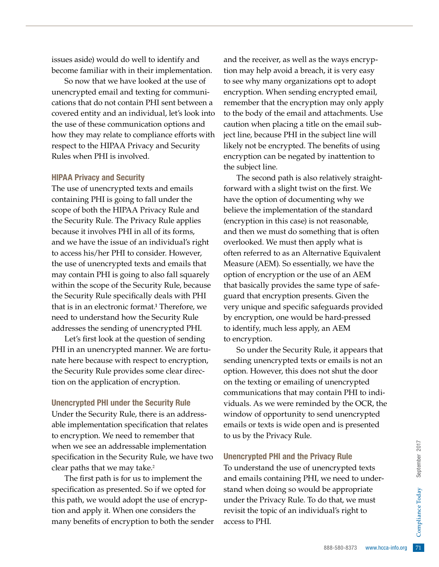issues aside) would do well to identify and become familiar with in their implementation.

So now that we have looked at the use of unencrypted email and texting for communications that do not contain PHI sent between a covered entity and an individual, let's look into the use of these communication options and how they may relate to compliance efforts with respect to the HIPAA Privacy and Security Rules when PHI is involved.

#### HIPAA Privacy and Security

The use of unencrypted texts and emails containing PHI is going to fall under the scope of both the HIPAA Privacy Rule and the Security Rule. The Privacy Rule applies because it involves PHI in all of its forms, and we have the issue of an individual's right to access his/her PHI to consider. However, the use of unencrypted texts and emails that may contain PHI is going to also fall squarely within the scope of the Security Rule, because the Security Rule specifically deals with PHI that is in an electronic format.1 Therefore, we need to understand how the Security Rule addresses the sending of unencrypted PHI.

Let's first look at the question of sending PHI in an unencrypted manner. We are fortunate here because with respect to encryption, the Security Rule provides some clear direction on the application of encryption.

#### Unencrypted PHI under the Security Rule

Under the Security Rule, there is an addressable implementation specification that relates to encryption. We need to remember that when we see an addressable implementation specification in the Security Rule, we have two clear paths that we may take.<sup>2</sup>

The first path is for us to implement the specification as presented. So if we opted for this path, we would adopt the use of encryption and apply it. When one considers the many benefits of encryption to both the sender

and the receiver, as well as the ways encryption may help avoid a breach, it is very easy to see why many organizations opt to adopt encryption. When sending encrypted email, remember that the encryption may only apply to the body of the email and attachments. Use caution when placing a title on the email subject line, because PHI in the subject line will likely not be encrypted. The benefits of using encryption can be negated by inattention to the subject line.

The second path is also relatively straightforward with a slight twist on the first. We have the option of documenting why we believe the implementation of the standard (encryption in this case) is not reasonable, and then we must do something that is often overlooked. We must then apply what is often referred to as an Alternative Equivalent Measure (AEM). So essentially, we have the option of encryption or the use of an AEM that basically provides the same type of safeguard that encryption presents. Given the very unique and specific safeguards provided by encryption, one would be hard-pressed to identify, much less apply, an AEM to encryption.

So under the Security Rule, it appears that sending unencrypted texts or emails is not an option. However, this does not shut the door on the texting or emailing of unencrypted communications that may contain PHI to individuals. As we were reminded by the OCR, the window of opportunity to send unencrypted emails or texts is wide open and is presented to us by the Privacy Rule.

#### Unencrypted PHI and the Privacy Rule

**Example 18 Alle Encrypted texts**<br>
We need to under-<br>
be appropriate<br>
o that, we must<br>
lual's right to<br>
lual's right to<br>
888-580-8373 www.hcca-info.org 71 To understand the use of unencrypted texts and emails containing PHI, we need to understand when doing so would be appropriate under the Privacy Rule. To do that, we must revisit the topic of an individual's right to access to PHI.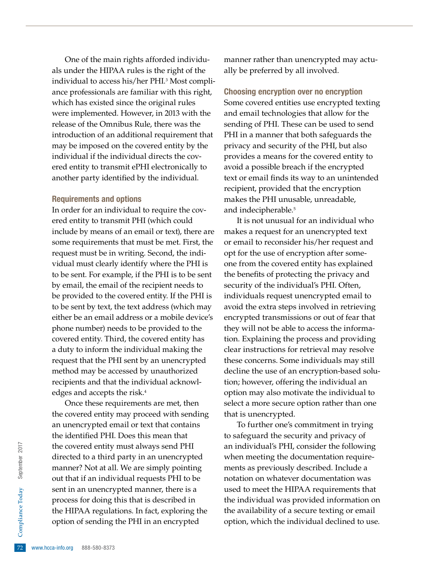One of the main rights afforded individuals under the HIPAA rules is the right of the individual to access his/her PHI.3 Most compliance professionals are familiar with this right, which has existed since the original rules were implemented. However, in 2013 with the release of the Omnibus Rule, there was the introduction of an additional requirement that may be imposed on the covered entity by the individual if the individual directs the covered entity to transmit ePHI electronically to another party identified by the individual.

#### Requirements and options

In order for an individual to require the covered entity to transmit PHI (which could include by means of an email or text), there are some requirements that must be met. First, the request must be in writing. Second, the individual must clearly identify where the PHI is to be sent. For example, if the PHI is to be sent by email, the email of the recipient needs to be provided to the covered entity. If the PHI is to be sent by text, the text address (which may either be an email address or a mobile device's phone number) needs to be provided to the covered entity. Third, the covered entity has a duty to inform the individual making the request that the PHI sent by an unencrypted method may be accessed by unauthorized recipients and that the individual acknowledges and accepts the risk.<sup>4</sup>

the HIPAA regulations. In fact, exploring the<br>
option of sending the PHI in an encrypted<br>
F2 www.hcca-info.org 888-580-8373 Once these requirements are met, then the covered entity may proceed with sending an unencrypted email or text that contains the identified PHI. Does this mean that the covered entity must always send PHI directed to a third party in an unencrypted manner? Not at all. We are simply pointing out that if an individual requests PHI to be sent in an unencrypted manner, there is a process for doing this that is described in option of sending the PHI in an encrypted

manner rather than unencrypted may actually be preferred by all involved.

Choosing encryption over no encryption Some covered entities use encrypted texting and email technologies that allow for the sending of PHI. These can be used to send PHI in a manner that both safeguards the privacy and security of the PHI, but also provides a means for the covered entity to avoid a possible breach if the encrypted text or email finds its way to an unintended recipient, provided that the encryption makes the PHI unusable, unreadable, and indecipherable.<sup>5</sup>

It is not unusual for an individual who makes a request for an unencrypted text or email to reconsider his/her request and opt for the use of encryption after someone from the covered entity has explained the benefits of protecting the privacy and security of the individual's PHI. Often, individuals request unencrypted email to avoid the extra steps involved in retrieving encrypted transmissions or out of fear that they will not be able to access the information. Explaining the process and providing clear instructions for retrieval may resolve these concerns. Some individuals may still decline the use of an encryption-based solution; however, offering the individual an option may also motivate the individual to select a more secure option rather than one that is unencrypted.

To further one's commitment in trying to safeguard the security and privacy of an individual's PHI, consider the following when meeting the documentation requirements as previously described. Include a notation on whatever documentation was used to meet the HIPAA requirements that the individual was provided information on the availability of a secure texting or email option, which the individual declined to use.